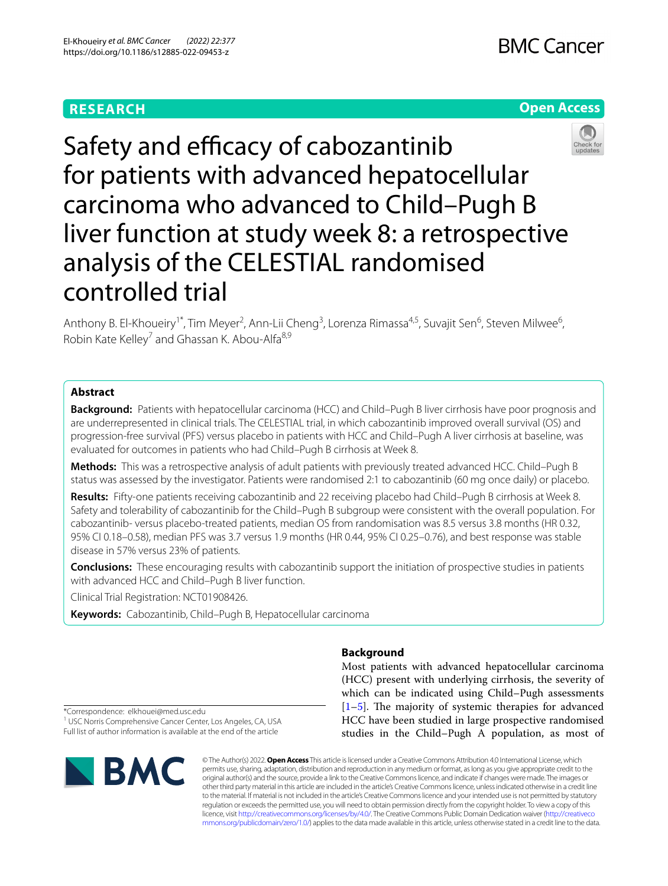# **RESEARCH**

# **Open Access**



Safety and efficacy of cabozantinib for patients with advanced hepatocellular carcinoma who advanced to Child–Pugh B liver function at study week 8: a retrospective analysis of the CELESTIAL randomised controlled trial

Anthony B. El-Khoueiry<sup>1\*</sup>, Tim Meyer<sup>2</sup>, Ann-Lii Cheng<sup>3</sup>, Lorenza Rimassa<sup>4,5</sup>, Suvajit Sen<sup>6</sup>, Steven Milwee<sup>6</sup>, Robin Kate Kelley<sup>7</sup> and Ghassan K. Abou-Alfa<sup>8,9</sup>

### **Abstract**

**Background:** Patients with hepatocellular carcinoma (HCC) and Child–Pugh B liver cirrhosis have poor prognosis and are underrepresented in clinical trials. The CELESTIAL trial, in which cabozantinib improved overall survival (OS) and progression-free survival (PFS) versus placebo in patients with HCC and Child–Pugh A liver cirrhosis at baseline, was evaluated for outcomes in patients who had Child–Pugh B cirrhosis at Week 8.

**Methods:** This was a retrospective analysis of adult patients with previously treated advanced HCC. Child–Pugh B status was assessed by the investigator. Patients were randomised 2:1 to cabozantinib (60 mg once daily) or placebo.

**Results:** Fifty-one patients receiving cabozantinib and 22 receiving placebo had Child–Pugh B cirrhosis at Week 8. Safety and tolerability of cabozantinib for the Child–Pugh B subgroup were consistent with the overall population. For cabozantinib- versus placebo-treated patients, median OS from randomisation was 8.5 versus 3.8 months (HR 0.32, 95% CI 0.18–0.58), median PFS was 3.7 versus 1.9 months (HR 0.44, 95% CI 0.25–0.76), and best response was stable disease in 57% versus 23% of patients.

**Conclusions:** These encouraging results with cabozantinib support the initiation of prospective studies in patients with advanced HCC and Child–Pugh B liver function.

Clinical Trial Registration: NCT01908426.

**Keywords:** Cabozantinib, Child–Pugh B, Hepatocellular carcinoma

## **Background**

Most patients with advanced hepatocellular carcinoma (HCC) present with underlying cirrhosis, the severity of which can be indicated using Child–Pugh assessments  $[1–5]$  $[1–5]$  $[1–5]$ . The majority of systemic therapies for advanced HCC have been studied in large prospective randomised studies in the Child–Pugh A population, as most of

\*Correspondence: elkhouei@med.usc.edu <sup>1</sup> USC Norris Comprehensive Cancer Center, Los Angeles, CA, USA

Full list of author information is available at the end of the article



© The Author(s) 2022. **Open Access** This article is licensed under a Creative Commons Attribution 4.0 International License, which permits use, sharing, adaptation, distribution and reproduction in any medium or format, as long as you give appropriate credit to the original author(s) and the source, provide a link to the Creative Commons licence, and indicate if changes were made. The images or other third party material in this article are included in the article's Creative Commons licence, unless indicated otherwise in a credit line to the material. If material is not included in the article's Creative Commons licence and your intended use is not permitted by statutory regulation or exceeds the permitted use, you will need to obtain permission directly from the copyright holder. To view a copy of this licence, visit [http://creativecommons.org/licenses/by/4.0/.](http://creativecommons.org/licenses/by/4.0/) The Creative Commons Public Domain Dedication waiver ([http://creativeco](http://creativecommons.org/publicdomain/zero/1.0/) [mmons.org/publicdomain/zero/1.0/](http://creativecommons.org/publicdomain/zero/1.0/)) applies to the data made available in this article, unless otherwise stated in a credit line to the data.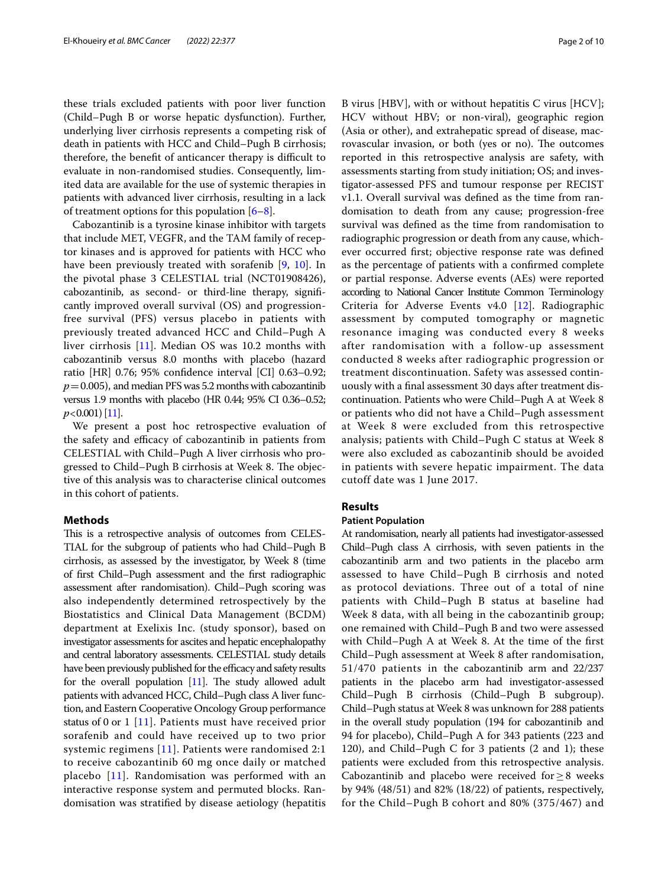these trials excluded patients with poor liver function (Child–Pugh B or worse hepatic dysfunction). Further, underlying liver cirrhosis represents a competing risk of death in patients with HCC and Child–Pugh B cirrhosis; therefore, the benefit of anticancer therapy is difficult to evaluate in non-randomised studies. Consequently, limited data are available for the use of systemic therapies in patients with advanced liver cirrhosis, resulting in a lack of treatment options for this population [\[6](#page-8-2)[–8](#page-8-3)].

Cabozantinib is a tyrosine kinase inhibitor with targets that include MET, VEGFR, and the TAM family of receptor kinases and is approved for patients with HCC who have been previously treated with sorafenib [\[9](#page-8-4), [10](#page-8-5)]. In the pivotal phase 3 CELESTIAL trial (NCT01908426), cabozantinib, as second- or third-line therapy, signifcantly improved overall survival (OS) and progressionfree survival (PFS) versus placebo in patients with previously treated advanced HCC and Child–Pugh A liver cirrhosis [\[11\]](#page-8-6). Median OS was 10.2 months with cabozantinib versus 8.0 months with placebo (hazard ratio [HR] 0.76; 95% confdence interval [CI] 0.63–0.92;  $p=0.005$ ), and median PFS was 5.2 months with cabozantinib versus 1.9 months with placebo (HR 0.44; 95% CI 0.36–0.52; *p*<0.001) [[11\]](#page-8-6).

We present a post hoc retrospective evaluation of the safety and efficacy of cabozantinib in patients from CELESTIAL with Child–Pugh A liver cirrhosis who progressed to Child–Pugh B cirrhosis at Week 8. The objective of this analysis was to characterise clinical outcomes in this cohort of patients.

### **Methods**

This is a retrospective analysis of outcomes from CELES-TIAL for the subgroup of patients who had Child–Pugh B cirrhosis, as assessed by the investigator, by Week 8 (time of frst Child–Pugh assessment and the frst radiographic assessment after randomisation). Child–Pugh scoring was also independently determined retrospectively by the Biostatistics and Clinical Data Management (BCDM) department at Exelixis Inc. (study sponsor), based on investigator assessments for ascites and hepatic encephalopathy and central laboratory assessments. CELESTIAL study details have been previously published for the efficacy and safety results for the overall population  $[11]$  $[11]$ . The study allowed adult patients with advanced HCC, Child–Pugh class A liver function, and Eastern Cooperative Oncology Group performance status of 0 or 1 [[11](#page-8-6)]. Patients must have received prior sorafenib and could have received up to two prior systemic regimens [[11](#page-8-6)]. Patients were randomised 2:1 to receive cabozantinib 60 mg once daily or matched placebo [[11](#page-8-6)]. Randomisation was performed with an interactive response system and permuted blocks. Randomisation was stratifed by disease aetiology (hepatitis

B virus [HBV], with or without hepatitis C virus [HCV]; HCV without HBV; or non-viral), geographic region (Asia or other), and extrahepatic spread of disease, macrovascular invasion, or both (yes or no). The outcomes reported in this retrospective analysis are safety, with assessments starting from study initiation; OS; and investigator-assessed PFS and tumour response per RECIST v1.1. Overall survival was defned as the time from randomisation to death from any cause; progression-free survival was defned as the time from randomisation to radiographic progression or death from any cause, whichever occurred frst; objective response rate was defned as the percentage of patients with a confrmed complete or partial response. Adverse events (AEs) were reported according to National Cancer Institute Common Terminology Criteria for Adverse Events v4.0 [\[12](#page-8-7)]. Radiographic assessment by computed tomography or magnetic resonance imaging was conducted every 8 weeks after randomisation with a follow-up assessment conducted 8 weeks after radiographic progression or treatment discontinuation. Safety was assessed continuously with a fnal assessment 30 days after treatment discontinuation. Patients who were Child–Pugh A at Week 8 or patients who did not have a Child–Pugh assessment at Week 8 were excluded from this retrospective analysis; patients with Child–Pugh C status at Week 8 were also excluded as cabozantinib should be avoided in patients with severe hepatic impairment. The data cutoff date was 1 June 2017.

### **Results**

### **Patient Population**

At randomisation, nearly all patients had investigator-assessed Child–Pugh class A cirrhosis, with seven patients in the cabozantinib arm and two patients in the placebo arm assessed to have Child–Pugh B cirrhosis and noted as protocol deviations. Three out of a total of nine patients with Child–Pugh B status at baseline had Week 8 data, with all being in the cabozantinib group; one remained with Child–Pugh B and two were assessed with Child–Pugh A at Week 8. At the time of the frst Child–Pugh assessment at Week 8 after randomisation, 51/470 patients in the cabozantinib arm and 22/237 patients in the placebo arm had investigator-assessed Child–Pugh B cirrhosis (Child–Pugh B subgroup). Child–Pugh status at Week 8 was unknown for 288 patients in the overall study population (194 for cabozantinib and 94 for placebo), Child–Pugh A for 343 patients (223 and 120), and Child–Pugh C for 3 patients (2 and 1); these patients were excluded from this retrospective analysis. Cabozantinib and placebo were received for  $\geq 8$  weeks by 94% (48/51) and 82% (18/22) of patients, respectively, for the Child–Pugh B cohort and 80% (375/467) and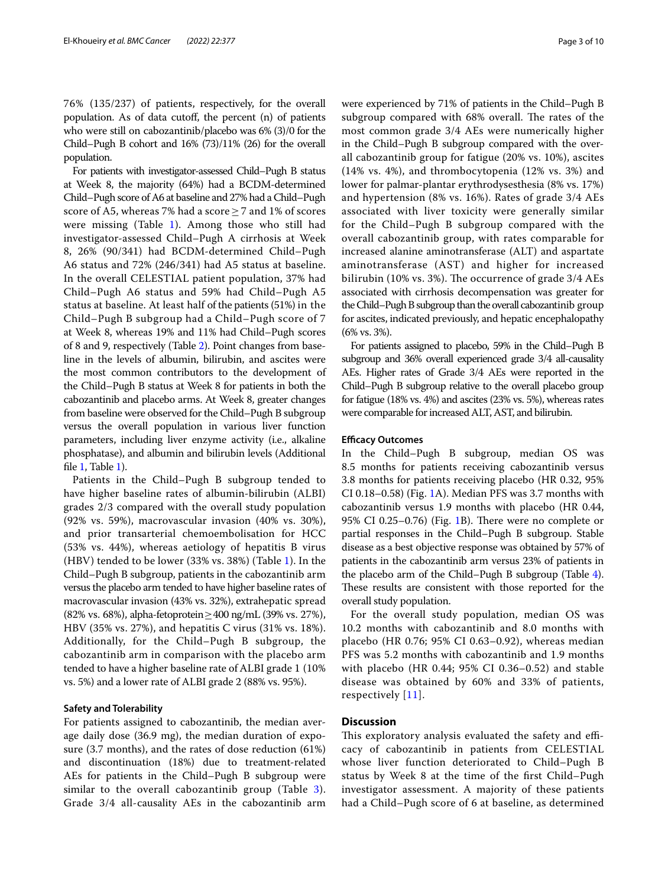76% (135/237) of patients, respectively, for the overall population. As of data cutof, the percent (n) of patients who were still on cabozantinib/placebo was 6% (3)/0 for the Child–Pugh B cohort and 16% (73)/11% (26) for the overall population.

For patients with investigator-assessed Child–Pugh B status at Week 8, the majority (64%) had a BCDM-determined Child–Pugh score of A6 at baseline and 27% had a Child–Pugh score of A5, whereas 7% had a score  $\geq$  7 and 1% of scores were missing (Table [1\)](#page-3-0). Among those who still had investigator-assessed Child–Pugh A cirrhosis at Week 8, 26% (90/341) had BCDM-determined Child–Pugh A6 status and 72% (246/341) had A5 status at baseline. In the overall CELESTIAL patient population, 37% had Child–Pugh A6 status and 59% had Child–Pugh A5 status at baseline. At least half of the patients (51%) in the Child–Pugh B subgroup had a Child–Pugh score of 7 at Week 8, whereas 19% and 11% had Child–Pugh scores of 8 and 9, respectively (Table [2](#page-4-0)). Point changes from baseline in the levels of albumin, bilirubin, and ascites were the most common contributors to the development of the Child–Pugh B status at Week 8 for patients in both the cabozantinib and placebo arms. At Week 8, greater changes from baseline were observed for the Child–Pugh B subgroup versus the overall population in various liver function parameters, including liver enzyme activity (i.e., alkaline phosphatase), and albumin and bilirubin levels (Additional fle [1,](#page-7-0) Table [1](#page-3-0)).

Patients in the Child–Pugh B subgroup tended to have higher baseline rates of albumin-bilirubin (ALBI) grades 2/3 compared with the overall study population (92% vs. 59%), macrovascular invasion (40% vs. 30%), and prior transarterial chemoembolisation for HCC (53% vs. 44%), whereas aetiology of hepatitis B virus (HBV) tended to be lower (33% vs. 38%) (Table [1](#page-3-0)). In the Child–Pugh B subgroup, patients in the cabozantinib arm versus the placebo arm tended to have higher baseline rates of macrovascular invasion (43% vs. 32%), extrahepatic spread (82% vs. 68%), alpha-fetoprotein≥400 ng/mL (39% vs. 27%), HBV (35% vs. 27%), and hepatitis C virus (31% vs. 18%). Additionally, for the Child–Pugh B subgroup, the cabozantinib arm in comparison with the placebo arm tended to have a higher baseline rate of ALBI grade 1 (10% vs. 5%) and a lower rate of ALBI grade 2 (88% vs. 95%).

### **Safety and Tolerability**

For patients assigned to cabozantinib, the median average daily dose (36.9 mg), the median duration of exposure (3.7 months), and the rates of dose reduction (61%) and discontinuation (18%) due to treatment-related AEs for patients in the Child–Pugh B subgroup were similar to the overall cabozantinib group (Table [3\)](#page-5-0). Grade 3/4 all-causality AEs in the cabozantinib arm were experienced by 71% of patients in the Child–Pugh B subgroup compared with 68% overall. The rates of the most common grade 3/4 AEs were numerically higher in the Child–Pugh B subgroup compared with the overall cabozantinib group for fatigue (20% vs. 10%), ascites (14% vs. 4%), and thrombocytopenia (12% vs. 3%) and lower for palmar-plantar erythrodysesthesia (8% vs. 17%) and hypertension (8% vs. 16%). Rates of grade 3/4 AEs associated with liver toxicity were generally similar for the Child–Pugh B subgroup compared with the overall cabozantinib group, with rates comparable for increased alanine aminotransferase (ALT) and aspartate aminotransferase (AST) and higher for increased bilirubin (10% vs. 3%). The occurrence of grade  $3/4$  AEs associated with cirrhosis decompensation was greater for the Child–Pugh B subgroup than the overall cabozantinib group for ascites, indicated previously, and hepatic encephalopathy (6% vs. 3%).

For patients assigned to placebo, 59% in the Child–Pugh B subgroup and 36% overall experienced grade 3/4 all-causality AEs. Higher rates of Grade 3/4 AEs were reported in the Child–Pugh B subgroup relative to the overall placebo group for fatigue (18% vs. 4%) and ascites (23% vs. 5%), whereas rates were comparable for increased ALT, AST, and bilirubin.

### **Efficacy Outcomes**

In the Child–Pugh B subgroup, median OS was 8.5 months for patients receiving cabozantinib versus 3.8 months for patients receiving placebo (HR 0.32, 95% CI 0.18–0.58) (Fig. [1A](#page-6-0)). Median PFS was 3.7 months with cabozantinib versus 1.9 months with placebo (HR 0.44, 95% CI 0.25–0.76) (Fig. [1B](#page-6-0)). There were no complete or partial responses in the Child–Pugh B subgroup. Stable disease as a best objective response was obtained by 57% of patients in the cabozantinib arm versus 23% of patients in the placebo arm of the Child–Pugh B subgroup (Table [4](#page-7-1)). These results are consistent with those reported for the overall study population.

For the overall study population, median OS was 10.2 months with cabozantinib and 8.0 months with placebo (HR 0.76; 95% CI 0.63–0.92), whereas median PFS was 5.2 months with cabozantinib and 1.9 months with placebo (HR 0.44; 95% CI 0.36–0.52) and stable disease was obtained by 60% and 33% of patients, respectively [[11](#page-8-6)].

### **Discussion**

This exploratory analysis evaluated the safety and efficacy of cabozantinib in patients from CELESTIAL whose liver function deteriorated to Child–Pugh B status by Week 8 at the time of the frst Child–Pugh investigator assessment. A majority of these patients had a Child–Pugh score of 6 at baseline, as determined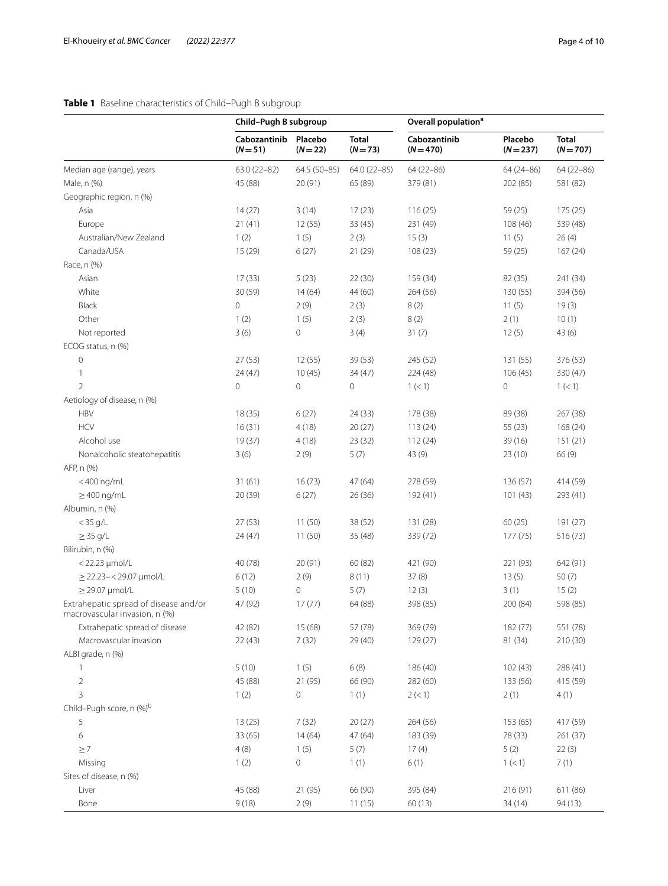# <span id="page-3-0"></span>**Table 1** Baseline characteristics of Child–Pugh B subgroup

|                                                                        | Child-Pugh B subgroup      |                     |                            | Overall population <sup>a</sup> |                        |                             |
|------------------------------------------------------------------------|----------------------------|---------------------|----------------------------|---------------------------------|------------------------|-----------------------------|
|                                                                        | Cabozantinib<br>$(N = 51)$ | Placebo<br>$(N=22)$ | <b>Total</b><br>$(N = 73)$ | Cabozantinib<br>$(N = 470)$     | Placebo<br>$(N = 237)$ | <b>Total</b><br>$(N = 707)$ |
| Median age (range), years                                              | $63.0(22 - 82)$            | $64.5(50-85)$       | 64.0 (22-85)               | 64 (22-86)                      | $64(24 - 86)$          | $64(22-86)$                 |
| Male, n (%)                                                            | 45 (88)                    | 20 (91)             | 65 (89)                    | 379 (81)                        | 202 (85)               | 581 (82)                    |
| Geographic region, n (%)                                               |                            |                     |                            |                                 |                        |                             |
| Asia                                                                   | 14(27)                     | 3(14)               | 17(23)                     | 116(25)                         | 59 (25)                | 175 (25)                    |
| Europe                                                                 | 21(41)                     | 12(55)              | 33 (45)                    | 231 (49)                        | 108 (46)               | 339 (48)                    |
| Australian/New Zealand                                                 | 1(2)                       | 1(5)                | 2(3)                       | 15(3)                           | 11(5)                  | 26(4)                       |
| Canada/USA                                                             | 15 (29)                    | 6(27)               | 21 (29)                    | 108 (23)                        | 59 (25)                | 167(24)                     |
| Race, n (%)                                                            |                            |                     |                            |                                 |                        |                             |
| Asian                                                                  | 17(33)                     | 5(23)               | 22 (30)                    | 159 (34)                        | 82 (35)                | 241 (34)                    |
| White                                                                  | 30 (59)                    | 14(64)              | 44 (60)                    | 264 (56)                        | 130(55)                | 394 (56)                    |
| Black                                                                  | 0                          | 2(9)                | 2(3)                       | 8(2)                            | 11(5)                  | 19(3)                       |
| Other                                                                  | 1(2)                       | 1(5)                | 2(3)                       | 8(2)                            | 2(1)                   | 10(1)                       |
| Not reported                                                           | 3(6)                       | 0                   | 3(4)                       | 31(7)                           | 12(5)                  | 43 (6)                      |
| ECOG status, n (%)                                                     |                            |                     |                            |                                 |                        |                             |
| $\circ$                                                                | 27(53)                     | 12(55)              | 39 (53)                    | 245 (52)                        | 131 (55)               | 376 (53)                    |
| $\mathbf{1}$                                                           | 24(47)                     | 10(45)              | 34 (47)                    | 224 (48)                        | 106(45)                | 330 (47)                    |
| $\overline{2}$                                                         | 0                          | 0                   | $\mathbf 0$                | 1 (< 1)                         | 0                      | 1 (< 1)                     |
| Aetiology of disease, n (%)                                            |                            |                     |                            |                                 |                        |                             |
| <b>HBV</b>                                                             | 18(35)                     | 6(27)               | 24 (33)                    | 178 (38)                        | 89 (38)                | 267 (38)                    |
| <b>HCV</b>                                                             | 16(31)                     | 4(18)               | 20(27)                     | 113(24)                         | 55 (23)                | 168(24)                     |
| Alcohol use                                                            | 19 (37)                    | 4(18)               | 23 (32)                    | 112(24)                         | 39 (16)                | 151(21)                     |
| Nonalcoholic steatohepatitis                                           | 3(6)                       | 2(9)                | 5(7)                       | 43 (9)                          | 23(10)                 | 66 (9)                      |
| AFP, n (%)                                                             |                            |                     |                            |                                 |                        |                             |
| $<$ 400 ng/mL                                                          | 31(61)                     | 16(73)              | 47 (64)                    | 278 (59)                        | 136 (57)               | 414 (59)                    |
| $\geq$ 400 ng/mL                                                       | 20 (39)                    | 6(27)               | 26 (36)                    | 192 (41)                        | 101(43)                | 293 (41)                    |
| Albumin, n (%)                                                         |                            |                     |                            |                                 |                        |                             |
| $<$ 35 g/L                                                             | 27 (53)                    | 11(50)              | 38 (52)                    | 131 (28)                        | 60(25)                 | 191 (27)                    |
|                                                                        |                            |                     |                            |                                 |                        |                             |
| $\geq$ 35 g/L                                                          | 24 (47)                    | 11(50)              | 35 (48)                    | 339 (72)                        | 177 (75)               | 516 (73)                    |
| Bilirubin, n (%)                                                       |                            |                     |                            |                                 |                        |                             |
| $<$ 22.23 $\mu$ mol/L                                                  | 40 (78)                    | 20 (91)             | 60 (82)                    | 421 (90)                        | 221 (93)               | 642 (91)                    |
| $\geq$ 22.23 - < 29.07 µmol/L                                          | 6(12)                      | 2(9)                | 8(11)                      | 37(8)                           | 13(5)                  | 50(7)                       |
| $\geq$ 29.07 µmol/L                                                    | 5(10)                      | $\mathbf 0$         | 5(7)                       | 12(3)                           | 3(1)                   | 15(2)                       |
| Extrahepatic spread of disease and/or<br>macrovascular invasion, n (%) | 47 (92)                    | 17(77)              | 64 (88)                    | 398 (85)                        | 200 (84)               | 598 (85)                    |
| Extrahepatic spread of disease                                         | 42 (82)                    | 15 (68)             | 57 (78)                    | 369 (79)                        | 182 (77)               | 551 (78)                    |
| Macrovascular invasion                                                 | 22(43)                     | 7(32)               | 29 (40)                    | 129 (27)                        | 81 (34)                | 210 (30)                    |
| ALBI grade, n (%)                                                      |                            |                     |                            |                                 |                        |                             |
| $\mathbf{1}$                                                           | 5(10)                      | 1(5)                | 6(8)                       | 186 (40)                        | 102 (43)               | 288 (41)                    |
| $\sqrt{2}$                                                             | 45 (88)                    | 21 (95)             | 66 (90)                    | 282 (60)                        | 133 (56)               | 415 (59)                    |
| $\mathsf 3$                                                            | 1(2)                       | 0                   | 1(1)                       | 2(<1)                           | 2(1)                   | 4(1)                        |
| Child-Pugh score, n (%) <sup>b</sup>                                   |                            |                     |                            |                                 |                        |                             |
| 5                                                                      | 13(25)                     | 7(32)               | 20 (27)                    | 264 (56)                        | 153 (65)               | 417 (59)                    |
| 6                                                                      | 33 (65)                    | 14(64)              | 47 (64)                    | 183 (39)                        | 78 (33)                | 261 (37)                    |
| $\geq 7$                                                               | 4(8)                       | 1(5)                | 5(7)                       | 17(4)                           | 5(2)                   | 22(3)                       |
| Missing                                                                | 1(2)                       | 0                   | 1(1)                       | 6(1)                            | 1 (< 1)                | 7(1)                        |
| Sites of disease, n (%)                                                |                            |                     |                            |                                 |                        |                             |
| Liver                                                                  | 45 (88)                    | 21 (95)             | 66 (90)                    | 395 (84)                        | 216 (91)               | 611 (86)                    |
| Bone                                                                   | 9(18)                      | 2(9)                | 11(15)                     | 60 (13)                         | 34(14)                 | 94 (13)                     |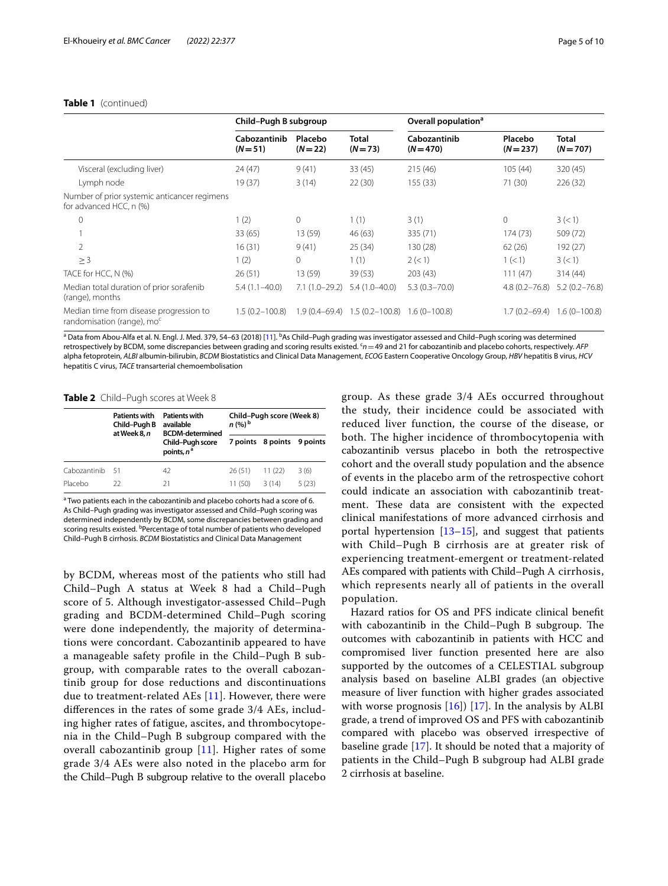### **Table 1** (continued)

|                                                                                   | Child-Pugh B subgroup      |                     |                                      | Overall population <sup>a</sup> |                      |                             |
|-----------------------------------------------------------------------------------|----------------------------|---------------------|--------------------------------------|---------------------------------|----------------------|-----------------------------|
|                                                                                   | Cabozantinib<br>$(N = 51)$ | Placebo<br>$(N=22)$ | <b>Total</b><br>$(N = 73)$           | Cabozantinib<br>$(N = 470)$     | Placebo<br>$(N=237)$ | <b>Total</b><br>$(N = 707)$ |
| Visceral (excluding liver)                                                        | 24(47)                     | 9(41)               | 33(45)                               | 215 (46)                        | 105(44)              | 320 (45)                    |
| Lymph node                                                                        | 19(37)                     | 3(14)               | 22(30)                               | 155 (33)                        | 71 (30)              | 226 (32)                    |
| Number of prior systemic anticancer regimens<br>for advanced HCC, n (%)           |                            |                     |                                      |                                 |                      |                             |
| 0                                                                                 | 1(2)                       | $\mathbf{0}$        | 1(1)                                 | 3(1)                            | $\Omega$             | 3 (< 1)                     |
|                                                                                   | 33 (65)                    | 13 (59)             | 46 (63)                              | 335 (71)                        | 174 (73)             | 509 (72)                    |
| $\overline{2}$                                                                    | 16(31)                     | 9(41)               | 25(34)                               | 130 (28)                        | 62(26)               | 192 (27)                    |
| $\geq$ 3                                                                          | 1(2)                       | $\circ$             | 1(1)                                 | 2(<1)                           | 1 (< 1)              | 3 (< 1)                     |
| TACE for HCC, N (%)                                                               | 26(51)                     | 13 (59)             | 39(53)                               | 203 (43)                        | 111(47)              | 314 (44)                    |
| Median total duration of prior sorafenib<br>(range), months                       | $5.4(1.1-40.0)$            | $7.1(1.0-29.2)$     | $5.4(1.0-40.0)$                      | $5.3(0.3 - 70.0)$               | $4.8(0.2 - 76.8)$    | $5.2(0.2 - 76.8)$           |
| Median time from disease progression to<br>randomisation (range), mo <sup>c</sup> | $1.5(0.2 - 100.8)$         |                     | $1.9(0.4 - 69.4)$ $1.5(0.2 - 100.8)$ | $1.6(0-100.8)$                  | $1.7(0.2 - 69.4)$    | $1.6(0-100.8)$              |

<sup>a</sup> Data from Abou-Alfa et al. N. Engl. J. Med. 379, 54–63 (2018) [[11](#page-8-6)]. <sup>b</sup>As Child–Pugh grading was investigator assessed and Child–Pugh scoring was determined retrospectively by BCDM, some discrepancies between grading and scoring results existed. <sup>c</sup> $n=49$  and 21 for cabozantinib and placebo cohorts, respectively. AFP alpha fetoprotein, *ALBI* albumin-bilirubin, *BCDM* Biostatistics and Clinical Data Management, *ECOG* Eastern Cooperative Oncology Group, *HBV* hepatitis B virus, *HCV* hepatitis C virus, *TACE* transarterial chemoembolisation

#### <span id="page-4-0"></span>**Table 2** Child–Pugh scores at Week 8

|                 | Patients with<br>Child-Pugh B<br>at Week 8, n | <b>Patients with</b><br>available<br><b>BCDM-determined</b> | Child-Pugh score (Week 8)<br>$n (%)^b$ |                            |       |  |
|-----------------|-----------------------------------------------|-------------------------------------------------------------|----------------------------------------|----------------------------|-------|--|
|                 |                                               | Child-Pugh score<br>points, $n^a$                           |                                        | 7 points 8 points 9 points |       |  |
| Cabozantinib 51 |                                               | 42                                                          | 26(51)                                 | 11(22)                     | 3(6)  |  |
| Placebo         | フフ                                            | 21                                                          | 11 (50)                                | 3(14)                      | 5(23) |  |

<sup>a</sup> Two patients each in the cabozantinib and placebo cohorts had a score of 6. As Child–Pugh grading was investigator assessed and Child–Pugh scoring was determined independently by BCDM, some discrepancies between grading and scoring results existed. <sup>b</sup>Percentage of total number of patients who developed Child–Pugh B cirrhosis. *BCDM* Biostatistics and Clinical Data Management

by BCDM, whereas most of the patients who still had Child–Pugh A status at Week 8 had a Child–Pugh score of 5. Although investigator-assessed Child–Pugh grading and BCDM-determined Child–Pugh scoring were done independently, the majority of determinations were concordant. Cabozantinib appeared to have a manageable safety profle in the Child–Pugh B subgroup, with comparable rates to the overall cabozantinib group for dose reductions and discontinuations due to treatment-related AEs [[11\]](#page-8-6). However, there were diferences in the rates of some grade 3/4 AEs, including higher rates of fatigue, ascites, and thrombocytopenia in the Child–Pugh B subgroup compared with the overall cabozantinib group [\[11](#page-8-6)]. Higher rates of some grade 3/4 AEs were also noted in the placebo arm for the Child–Pugh B subgroup relative to the overall placebo group. As these grade 3/4 AEs occurred throughout the study, their incidence could be associated with reduced liver function, the course of the disease, or both. The higher incidence of thrombocytopenia with cabozantinib versus placebo in both the retrospective cohort and the overall study population and the absence of events in the placebo arm of the retrospective cohort could indicate an association with cabozantinib treatment. These data are consistent with the expected clinical manifestations of more advanced cirrhosis and portal hypertension [\[13](#page-8-8)[–15\]](#page-8-9), and suggest that patients with Child–Pugh B cirrhosis are at greater risk of experiencing treatment-emergent or treatment-related AEs compared with patients with Child–Pugh A cirrhosis, which represents nearly all of patients in the overall population.

Hazard ratios for OS and PFS indicate clinical beneft with cabozantinib in the Child–Pugh B subgroup. The outcomes with cabozantinib in patients with HCC and compromised liver function presented here are also supported by the outcomes of a CELESTIAL subgroup analysis based on baseline ALBI grades (an objective measure of liver function with higher grades associated with worse prognosis [[16\]](#page-8-10)) [[17\]](#page-8-11). In the analysis by ALBI grade, a trend of improved OS and PFS with cabozantinib compared with placebo was observed irrespective of baseline grade [[17\]](#page-8-11). It should be noted that a majority of patients in the Child–Pugh B subgroup had ALBI grade 2 cirrhosis at baseline.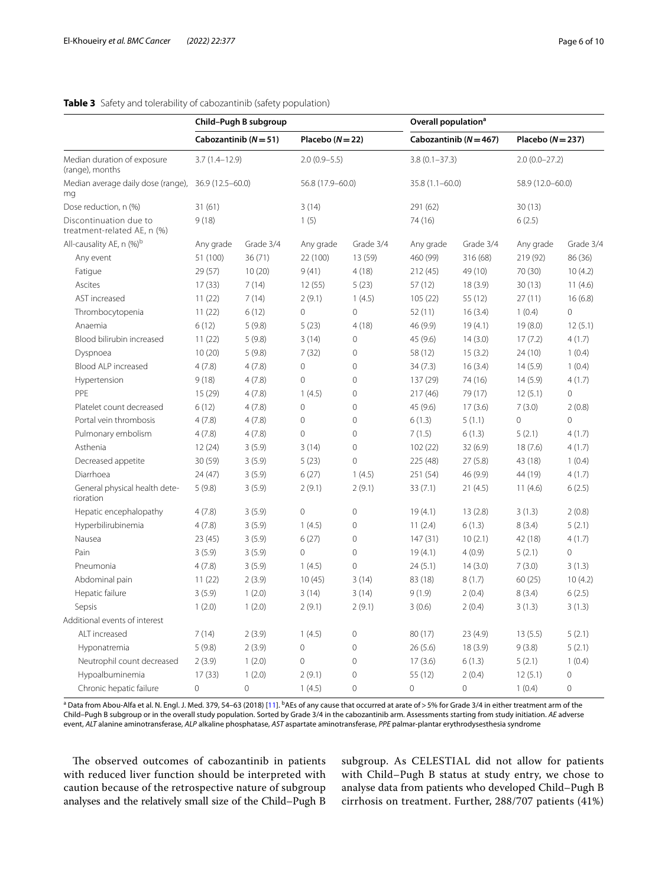### <span id="page-5-0"></span>**Table 3** Safety and tolerability of cabozantinib (safety population)

|                                                           | Child-Pugh B subgroup |                       |                  |              | Overall population <sup>a</sup> |                            |                   |                |
|-----------------------------------------------------------|-----------------------|-----------------------|------------------|--------------|---------------------------------|----------------------------|-------------------|----------------|
|                                                           |                       | Cabozantinib $(N=51)$ | Placebo $(N=22)$ |              |                                 | Cabozantinib ( $N = 467$ ) | Placebo $(N=237)$ |                |
| Median duration of exposure<br>(range), months            | $3.7(1.4 - 12.9)$     |                       | $2.0(0.9 - 5.5)$ |              | $3.8(0.1 - 37.3)$               |                            | $2.0(0.0-27.2)$   |                |
| Median average daily dose (range), 36.9 (12.5-60.0)<br>mq |                       |                       | 56.8 (17.9-60.0) |              | $35.8(1.1 - 60.0)$              |                            | 58.9 (12.0-60.0)  |                |
| Dose reduction, n (%)                                     | 31(61)                |                       | 3(14)            |              | 291 (62)                        |                            | 30(13)            |                |
| Discontinuation due to<br>treatment-related AE, n (%)     | 9(18)                 |                       | 1(5)             |              | 74 (16)                         |                            | 6(2.5)            |                |
| All-causality AE, n (%) <sup>b</sup>                      | Any grade             | Grade 3/4             | Any grade        | Grade 3/4    | Any grade                       | Grade 3/4                  | Any grade         | Grade 3/4      |
| Any event                                                 | 51 (100)              | 36(71)                | 22 (100)         | 13 (59)      | 460 (99)                        | 316 (68)                   | 219 (92)          | 86 (36)        |
| Fatigue                                                   | 29 (57)               | 10(20)                | 9(41)            | 4(18)        | 212 (45)                        | 49 (10)                    | 70 (30)           | 10(4.2)        |
| Ascites                                                   | 17(33)                | 7(14)                 | 12(55)           | 5(23)        | 57 (12)                         | 18 (3.9)                   | 30(13)            | 11(4.6)        |
| AST increased                                             | 11(22)                | 7(14)                 | 2(9.1)           | 1(4.5)       | 105(22)                         | 55 (12)                    | 27(11)            | 16(6.8)        |
| Thrombocytopenia                                          | 11(22)                | 6(12)                 | $\overline{0}$   | 0            | 52(11)                          | 16(3.4)                    | 1(0.4)            | $\mathbf{0}$   |
| Anaemia                                                   | 6(12)                 | 5(9.8)                | 5(23)            | 4(18)        | 46 (9.9)                        | 19(4.1)                    | 19(8.0)           | 12(5.1)        |
| Blood bilirubin increased                                 | 11(22)                | 5(9.8)                | 3(14)            | 0            | 45 (9.6)                        | 14(3.0)                    | 17(7.2)           | 4(1.7)         |
| Dyspnoea                                                  | 10(20)                | 5(9.8)                | 7(32)            | 0            | 58 (12)                         | 15(3.2)                    | 24(10)            | 1(0.4)         |
| Blood ALP increased                                       | 4(7.8)                | 4(7.8)                | $\mathbf 0$      | 0            | 34(7.3)                         | 16(3.4)                    | 14(5.9)           | 1(0.4)         |
| Hypertension                                              | 9(18)                 | 4(7.8)                | 0                | 0            | 137 (29)                        | 74 (16)                    | 14(5.9)           | 4(1.7)         |
| PPE                                                       | 15 (29)               | 4(7.8)                | 1(4.5)           | 0            | 217 (46)                        | 79 (17)                    | 12(5.1)           | $\mathbf 0$    |
| Platelet count decreased                                  | 6(12)                 | 4(7.8)                | 0                | 0            | 45 (9.6)                        | 17(3.6)                    | 7(3.0)            | 2(0.8)         |
| Portal vein thrombosis                                    | 4(7.8)                | 4(7.8)                | $\mathbf 0$      | 0            | 6(1.3)                          | 5(1.1)                     | $\overline{0}$    | $\overline{0}$ |
| Pulmonary embolism                                        | 4(7.8)                | 4(7.8)                | 0                | 0            | 7(1.5)                          | 6(1.3)                     | 5(2.1)            | 4(1.7)         |
| Asthenia                                                  | 12(24)                | 3(5.9)                | 3(14)            | $\mathbf 0$  | 102(22)                         | 32(6.9)                    | 18(7.6)           | 4(1.7)         |
| Decreased appetite                                        | 30 (59)               | 3(5.9)                | 5(23)            | 0            | 225 (48)                        | 27(5.8)                    | 43 (18)           | 1(0.4)         |
| Diarrhoea                                                 | 24 (47)               | 3(5.9)                | 6(27)            | 1(4.5)       | 251 (54)                        | 46 (9.9)                   | 44 (19)           | 4(1.7)         |
| General physical health dete-<br>rioration                | 5(9.8)                | 3(5.9)                | 2(9.1)           | 2(9.1)       | 33(7.1)                         | 21(4.5)                    | 11(4.6)           | 6(2.5)         |
| Hepatic encephalopathy                                    | 4(7.8)                | 3(5.9)                | 0                | $\mathbf{0}$ | 19(4.1)                         | 13(2.8)                    | 3(1.3)            | 2(0.8)         |
| Hyperbilirubinemia                                        | 4(7.8)                | 3(5.9)                | 1(4.5)           | 0            | 11(2.4)                         | 6(1.3)                     | 8(3.4)            | 5(2.1)         |
| Nausea                                                    | 23 (45)               | 3(5.9)                | 6(27)            | 0            | 147(31)                         | 10(2.1)                    | 42 (18)           | 4(1.7)         |
| Pain                                                      | 3(5.9)                | 3(5.9)                | 0                | 0            | 19(4.1)                         | 4(0.9)                     | 5(2.1)            | $\mathbf{0}$   |
| Pneumonia                                                 | 4(7.8)                | 3(5.9)                | 1(4.5)           | 0            | 24(5.1)                         | 14(3.0)                    | 7(3.0)            | 3(1.3)         |
| Abdominal pain                                            | 11(22)                | 2(3.9)                | 10(45)           | 3(14)        | 83 (18)                         | 8(1.7)                     | 60(25)            | 10(4.2)        |
| Hepatic failure                                           | 3(5.9)                | 1(2.0)                | 3(14)            | 3(14)        | 9(1.9)                          | 2(0.4)                     | 8(3.4)            | 6(2.5)         |
| Sepsis                                                    | 1(2.0)                | 1(2.0)                | 2(9.1)           | 2(9.1)       | 3(0.6)                          | 2(0.4)                     | 3(1.3)            | 3(1.3)         |
| Additional events of interest                             |                       |                       |                  |              |                                 |                            |                   |                |
| ALT increased                                             | 7(14)                 | 2(3.9)                | 1(4.5)           | $\circ$      | 80 (17)                         | 23(4.9)                    | 13(5.5)           | 5(2.1)         |
| Hyponatremia                                              | 5(9.8)                | 2(3.9)                | $\mathbf 0$      | $\mathbf 0$  | 26(5.6)                         | 18(3.9)                    | 9(3.8)            | 5(2.1)         |
| Neutrophil count decreased                                | 2(3.9)                | 1(2.0)                | 0                | $\mathbf{0}$ | 17(3.6)                         | 6(1.3)                     | 5(2.1)            | 1(0.4)         |
| Hypoalbuminemia                                           | 17(33)                | 1(2.0)                | 2(9.1)           | $\mathbf 0$  | 55 (12)                         | 2(0.4)                     | 12(5.1)           | 0              |
| Chronic hepatic failure                                   | $\Omega$              | $\mathbf 0$           | 1(4.5)           | $\Omega$     | $\mathbf 0$                     | $\mathbf 0$                | 1(0.4)            | 0              |

 $^{\rm a}$  Data from Abou-Alfa et al. N. Engl. J. Med. 379, 54–63 (2018) [\[11](#page-8-6)].  $^{\rm b}$ AEs of any cause that occurred at arate of > 5% for Grade 3/4 in either treatment arm of the Child–Pugh B subgroup or in the overall study population. Sorted by Grade 3/4 in the cabozantinib arm. Assessments starting from study initiation. *AE* adverse event, *ALT* alanine aminotransferase, *ALP* alkaline phosphatase, *AST* aspartate aminotransferase, *PPE* palmar-plantar erythrodysesthesia syndrome

The observed outcomes of cabozantinib in patients with reduced liver function should be interpreted with caution because of the retrospective nature of subgroup analyses and the relatively small size of the Child–Pugh B subgroup. As CELESTIAL did not allow for patients with Child–Pugh B status at study entry, we chose to analyse data from patients who developed Child–Pugh B cirrhosis on treatment. Further, 288/707 patients (41%)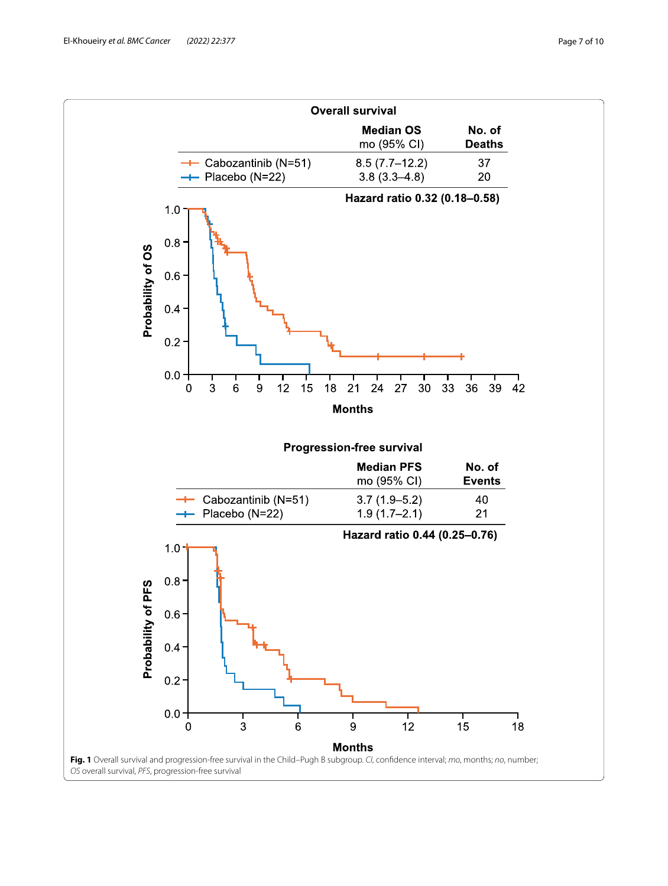<span id="page-6-0"></span>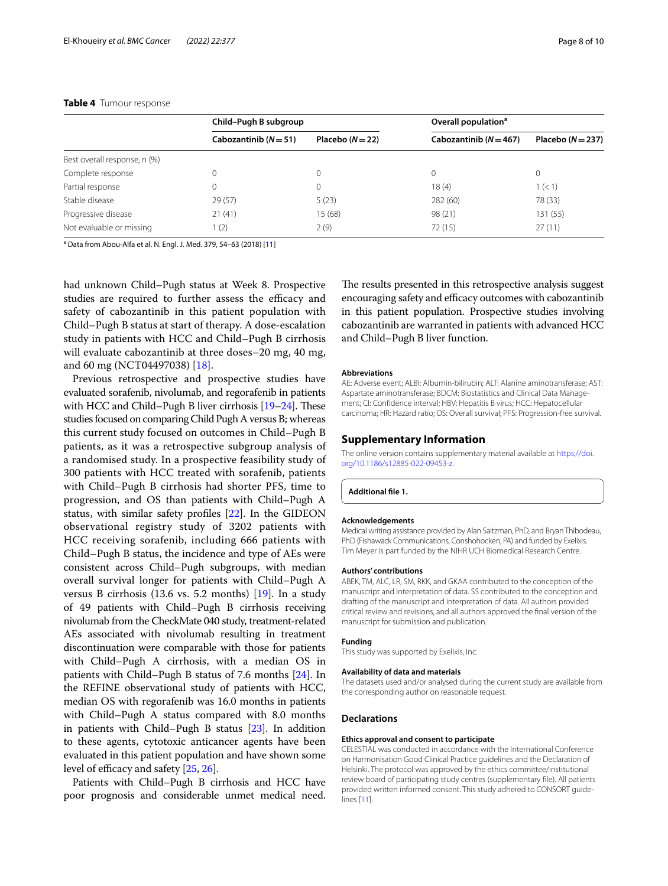|                              | Child-Pugh B subgroup |                  | Overall population <sup>a</sup> |                   |  |
|------------------------------|-----------------------|------------------|---------------------------------|-------------------|--|
|                              | Cabozantinib $(N=51)$ | Placebo $(N=22)$ | Cabozantinib ( $N = 467$ )      | Placebo $(N=237)$ |  |
| Best overall response, n (%) |                       |                  |                                 |                   |  |
| Complete response            |                       |                  |                                 | $\Omega$          |  |
| Partial response             |                       | 0                | 18(4)                           | 1 (< 1)           |  |
| Stable disease               | 29(57)                | 5(23)            | 282 (60)                        | 78 (33)           |  |
| Progressive disease          | 21(41)                | 15 (68)          | 98 (21)                         | 131 (55)          |  |
| Not evaluable or missing     | (2)                   | 2(9)             | 72(15)                          | 27(11)            |  |

#### <span id="page-7-1"></span>**Table 4** Tumour response

<sup>a</sup> Data from Abou-Alfa et al. N. Engl. J. Med. 379, 54-63 (2018) [[11](#page-8-6)]

had unknown Child–Pugh status at Week 8. Prospective studies are required to further assess the efficacy and safety of cabozantinib in this patient population with Child–Pugh B status at start of therapy. A dose-escalation study in patients with HCC and Child–Pugh B cirrhosis will evaluate cabozantinib at three doses–20 mg, 40 mg, and 60 mg (NCT04497038) [[18\]](#page-8-12).

Previous retrospective and prospective studies have evaluated sorafenib, nivolumab, and regorafenib in patients with HCC and Child–Pugh B liver cirrhosis  $[19-24]$  $[19-24]$  $[19-24]$ . These studies focused on comparing Child Pugh A versus B; whereas this current study focused on outcomes in Child–Pugh B patients, as it was a retrospective subgroup analysis of a randomised study. In a prospective feasibility study of 300 patients with HCC treated with sorafenib, patients with Child–Pugh B cirrhosis had shorter PFS, time to progression, and OS than patients with Child–Pugh A status, with similar safety profles [\[22\]](#page-8-15). In the GIDEON observational registry study of 3202 patients with HCC receiving sorafenib, including 666 patients with Child–Pugh B status, the incidence and type of AEs were consistent across Child–Pugh subgroups, with median overall survival longer for patients with Child–Pugh A versus B cirrhosis (13.6 vs. 5.2 months) [\[19\]](#page-8-13). In a study of 49 patients with Child–Pugh B cirrhosis receiving nivolumab from the CheckMate 040 study, treatment-related AEs associated with nivolumab resulting in treatment discontinuation were comparable with those for patients with Child–Pugh A cirrhosis, with a median OS in patients with Child–Pugh B status of 7.6 months [[24](#page-8-14)]. In the REFINE observational study of patients with HCC, median OS with regorafenib was 16.0 months in patients with Child–Pugh A status compared with 8.0 months in patients with Child–Pugh B status [\[23\]](#page-8-16). In addition to these agents, cytotoxic anticancer agents have been evaluated in this patient population and have shown some level of efficacy and safety  $[25, 26]$  $[25, 26]$  $[25, 26]$ .

Patients with Child–Pugh B cirrhosis and HCC have poor prognosis and considerable unmet medical need.

The results presented in this retrospective analysis suggest encouraging safety and efficacy outcomes with cabozantinib in this patient population. Prospective studies involving cabozantinib are warranted in patients with advanced HCC and Child–Pugh B liver function.

#### **Abbreviations**

AE: Adverse event; ALBI: Albumin-bilirubin; ALT: Alanine aminotransferase; AST: Aspartate aminotransferase: BDCM: Biostatistics and Clinical Data Management; CI: Confdence interval; HBV: Hepatitis B virus; HCC: Hepatocellular carcinoma; HR: Hazard ratio; OS: Overall survival; PFS: Progression-free survival.

#### **Supplementary Information**

The online version contains supplementary material available at [https://doi.](https://doi.org/10.1186/s12885-022-09453-z) [org/10.1186/s12885-022-09453-z.](https://doi.org/10.1186/s12885-022-09453-z)

<span id="page-7-0"></span>**Additional fle 1.**

#### **Acknowledgements**

Medical writing assistance provided by Alan Saltzman, PhD, and Bryan Thibodeau, PhD (Fishawack Communications, Conshohocken, PA) and funded by Exelixis. Tim Meyer is part funded by the NIHR UCH Biomedical Research Centre.

#### **Authors' contributions**

ABEK, TM, ALC, LR, SM, RKK, and GKAA contributed to the conception of the manuscript and interpretation of data. SS contributed to the conception and drafting of the manuscript and interpretation of data. All authors provided critical review and revisions, and all authors approved the fnal version of the manuscript for submission and publication.

#### **Funding**

This study was supported by Exelixis, Inc.

#### **Availability of data and materials**

The datasets used and/or analysed during the current study are available from the corresponding author on reasonable request.

#### **Declarations**

#### **Ethics approval and consent to participate**

CELESTIAL was conducted in accordance with the International Conference on Harmonisation Good Clinical Practice guidelines and the Declaration of Helsinki. The protocol was approved by the ethics committee/institutional review board of participating study centres (supplementary fle). All patients provided written informed consent. This study adhered to CONSORT guidelines [[11](#page-8-6)].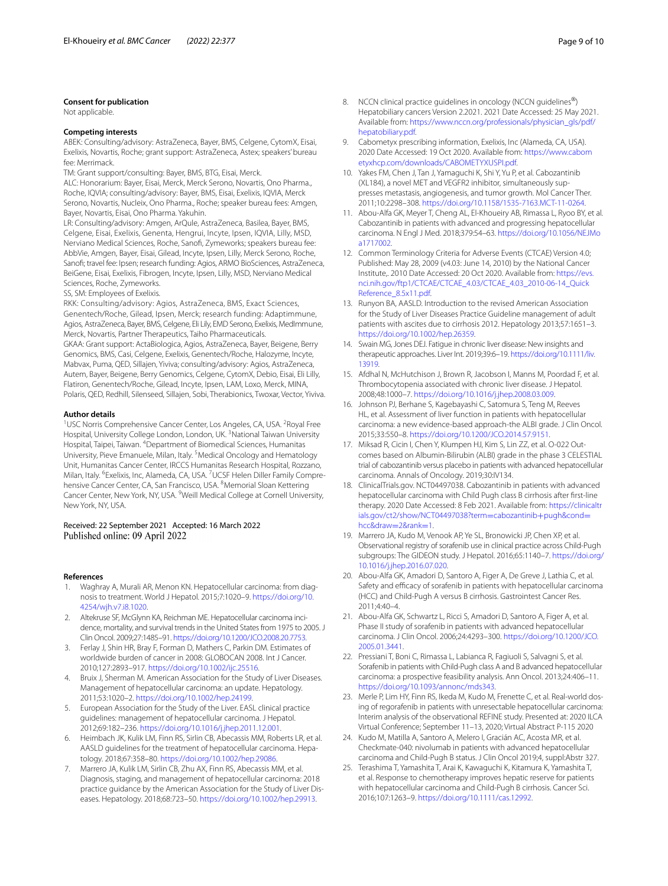#### **Consent for publication**

Not applicable.

#### **Competing interests**

ABEK: Consulting/advisory: AstraZeneca, Bayer, BMS, Celgene, CytomX, Eisai, Exelixis, Novartis, Roche; grant support: AstraZeneca, Astex; speakers' bureau fee: Merrimack.

TM: Grant support/consulting: Bayer, BMS, BTG, Eisai, Merck.

ALC: Honorarium: Bayer, Eisai, Merck, Merck Serono, Novartis, Ono Pharma., Roche, IQVIA; consulting/advisory: Bayer, BMS, Eisai, Exelixis, IQVIA, Merck Serono, Novartis, Nucleix, Ono Pharma., Roche; speaker bureau fees: Amgen, Bayer, Novartis, Eisai, Ono Pharma. Yakuhin.

LR: Consulting/advisory: Amgen, ArQule, AstraZeneca, Basilea, Bayer, BMS, Celgene, Eisai, Exelixis, Genenta, Hengrui, Incyte, Ipsen, IQVIA, Lilly, MSD, Nerviano Medical Sciences, Roche, Sanof, Zymeworks; speakers bureau fee: AbbVie, Amgen, Bayer, Eisai, Gilead, Incyte, Ipsen, Lilly, Merck Serono, Roche, Sanof; travel fee: Ipsen; research funding: Agios, ARMO BioSciences, AstraZeneca, BeiGene, Eisai, Exelixis, Fibrogen, Incyte, Ipsen, Lilly, MSD, Nerviano Medical Sciences, Roche, Zymeworks.

SS, SM: Employees of Exelixis.

RKK: Consulting/advisory: Agios, AstraZeneca, BMS, Exact Sciences, Genentech/Roche, Gilead, Ipsen, Merck; research funding: Adaptimmune, Agios, AstraZeneca, Bayer, BMS, Celgene, Eli Lily, EMD Serono, Exelixis, MedImmune, Merck, Novartis, Partner Therapeutics, Taiho Pharmaceuticals.

GKAA: Grant support: ActaBiologica, Agios, AstraZeneca, Bayer, Beigene, Berry Genomics, BMS, Casi, Celgene, Exelixis, Genentech/Roche, Halozyme, Incyte, Mabvax, Puma, QED, Sillajen, Yiviva; consulting/advisory: Agios, AstraZeneca, Autem, Bayer, Beigene, Berry Genomics, Celgene, CytomX, Debio, Eisai, Eli Lilly, Flatiron, Genentech/Roche, Gilead, Incyte, Ipsen, LAM, Loxo, Merck, MINA, Polaris, QED, Redhill, Silenseed, Sillajen, Sobi, Therabionics, Twoxar, Vector, Yiviva.

#### **Author details**

<sup>1</sup>USC Norris Comprehensive Cancer Center, Los Angeles, CA, USA. <sup>2</sup>Royal Free Hospital, University College London, London, UK. <sup>3</sup>National Taiwan University Hospital, Taipei, Taiwan. <sup>4</sup> Department of Biomedical Sciences, Humanitas University, Pieve Emanuele, Milan, Italy. <sup>5</sup> Medical Oncology and Hematology Unit, Humanitas Cancer Center, IRCCS Humanitas Research Hospital, Rozzano, Milan, Italy. <sup>6</sup> Exelixis, Inc, Alameda, CA, USA. <sup>7</sup>UCSF Helen Diller Family Comprehensive Cancer Center, CA, San Francisco, USA. <sup>8</sup>Memorial Sloan Kettering Cancer Center, New York, NY, USA. <sup>9</sup>Weill Medical College at Cornell University, New York, NY, USA.

# Received: 22 September 2021 Accepted: 16 March 2022

#### **References**

- <span id="page-8-0"></span>Waghray A, Murali AR, Menon KN. Hepatocellular carcinoma: from diagnosis to treatment. World J Hepatol. 2015;7:1020–9. [https://doi.org/10.](https://doi.org/10.4254/wjh.v7.i8.1020) [4254/wjh.v7.i8.1020.](https://doi.org/10.4254/wjh.v7.i8.1020)
- 2. Altekruse SF, McGlynn KA, Reichman ME. Hepatocellular carcinoma incidence, mortality, and survival trends in the United States from 1975 to 2005. J Clin Oncol. 2009;27:1485–91. <https://doi.org/10.1200/JCO.2008.20.7753>.
- 3. Ferlay J, Shin HR, Bray F, Forman D, Mathers C, Parkin DM. Estimates of worldwide burden of cancer in 2008: GLOBOCAN 2008. Int J Cancer. 2010;127:2893–917.<https://doi.org/10.1002/ijc.25516>.
- 4. Bruix J, Sherman M. American Association for the Study of Liver Diseases. Management of hepatocellular carcinoma: an update. Hepatology. 2011;53:1020–2.<https://doi.org/10.1002/hep.24199>.
- <span id="page-8-1"></span>5. European Association for the Study of the Liver. EASL clinical practice guidelines: management of hepatocellular carcinoma. J Hepatol. 2012;69:182–236. [https://doi.org/10.1016/j.jhep.2011.12.001.](https://doi.org/10.1016/j.jhep.2011.12.001)
- <span id="page-8-2"></span>6. Heimbach JK, Kulik LM, Finn RS, Sirlin CB, Abecassis MM, Roberts LR, et al. AASLD guidelines for the treatment of hepatocellular carcinoma. Hepatology. 2018;67:358–80.<https://doi.org/10.1002/hep.29086>.
- 7. Marrero JA, Kulik LM, Sirlin CB, Zhu AX, Finn RS, Abecassis MM, et al. Diagnosis, staging, and management of hepatocellular carcinoma: 2018 practice guidance by the American Association for the Study of Liver Diseases. Hepatology. 2018;68:723–50.<https://doi.org/10.1002/hep.29913>.
- <span id="page-8-3"></span>8. NCCN clinical practice guidelines in oncology (NCCN guidelines®) Hepatobiliary cancers Version 2.2021. 2021 Date Accessed: 25 May 2021. Available from: [https://www.nccn.org/professionals/physician\\_gls/pdf/](https://www.nccn.org/professionals/physician_gls/pdf/hepatobiliary.pdf) [hepatobiliary.pdf](https://www.nccn.org/professionals/physician_gls/pdf/hepatobiliary.pdf).
- <span id="page-8-4"></span>9. Cabometyx prescribing information, Exelixis, Inc (Alameda, CA, USA). 2020 Date Accessed: 19 Oct 2020. Available from: [https://www.cabom](https://www.cabometyxhcp.com/downloads/CABOMETYXUSPI.pdf) [etyxhcp.com/downloads/CABOMETYXUSPI.pdf.](https://www.cabometyxhcp.com/downloads/CABOMETYXUSPI.pdf)
- <span id="page-8-5"></span>10. Yakes FM, Chen J, Tan J, Yamaguchi K, Shi Y, Yu P, et al. Cabozantinib (XL184), a novel MET and VEGFR2 inhibitor, simultaneously suppresses metastasis, angiogenesis, and tumor growth. Mol Cancer Ther. 2011;10:2298–308. <https://doi.org/10.1158/1535-7163.MCT-11-0264>.
- <span id="page-8-6"></span>11. Abou-Alfa GK, Meyer T, Cheng AL, El-Khoueiry AB, Rimassa L, Ryoo BY, et al. Cabozantinib in patients with advanced and progressing hepatocellular carcinoma. N Engl J Med. 2018;379:54–63. [https://doi.org/10.1056/NEJMo](https://doi.org/10.1056/NEJMoa1717002) [a1717002](https://doi.org/10.1056/NEJMoa1717002).
- <span id="page-8-7"></span>12. Common Terminology Criteria for Adverse Events (CTCAE) Version 4.0; Published: May 28, 2009 (v4.03: June 14, 2010) by the National Cancer Institute,. 2010 Date Accessed: 20 Oct 2020. Available from: [https://evs.](https://evs.nci.nih.gov/ftp1/CTCAE/CTCAE_4.03/CTCAE_4.03_2010-06-14_QuickReference_8.5x11.pdf) [nci.nih.gov/ftp1/CTCAE/CTCAE\\_4.03/CTCAE\\_4.03\\_2010-06-14\\_Quick](https://evs.nci.nih.gov/ftp1/CTCAE/CTCAE_4.03/CTCAE_4.03_2010-06-14_QuickReference_8.5x11.pdf) [Reference\\_8.5x11.pdf.](https://evs.nci.nih.gov/ftp1/CTCAE/CTCAE_4.03/CTCAE_4.03_2010-06-14_QuickReference_8.5x11.pdf)
- <span id="page-8-8"></span>13. Runyon BA, AASLD. Introduction to the revised American Association for the Study of Liver Diseases Practice Guideline management of adult patients with ascites due to cirrhosis 2012. Hepatology 2013;57:1651–3. [https://doi.org/10.1002/hep.26359.](https://doi.org/10.1002/hep.26359)
- 14. Swain MG, Jones DEJ. Fatigue in chronic liver disease: New insights and therapeutic approaches. Liver Int. 2019;39:6–19. [https://doi.org/10.1111/liv.](https://doi.org/10.1111/liv.13919) [13919](https://doi.org/10.1111/liv.13919).
- <span id="page-8-9"></span>15. Afdhal N, McHutchison J, Brown R, Jacobson I, Manns M, Poordad F, et al. Thrombocytopenia associated with chronic liver disease. J Hepatol. 2008;48:1000–7.<https://doi.org/10.1016/j.jhep.2008.03.009>.
- <span id="page-8-10"></span>16. Johnson PJ, Berhane S, Kagebayashi C, Satomura S, Teng M, Reeves HL, et al. Assessment of liver function in patients with hepatocellular carcinoma: a new evidence-based approach-the ALBI grade. J Clin Oncol. 2015;33:550–8. [https://doi.org/10.1200/JCO.2014.57.9151.](https://doi.org/10.1200/JCO.2014.57.9151)
- <span id="page-8-11"></span>17. Miksad R, Cicin I, Chen Y, Klumpen HJ, Kim S, Lin ZZ, et al. O-022 Outcomes based on Albumin-Bilirubin (ALBI) grade in the phase 3 CELESTIAL trial of cabozantinib versus placebo in patients with advanced hepatocellular carcinoma. Annals of Oncology. 2019;30:IV134.
- <span id="page-8-12"></span>18. ClinicalTrials.gov. NCT04497038. Cabozantinib in patients with advanced hepatocellular carcinoma with Child Pugh class B cirrhosis after frst-line therapy. 2020 Date Accessed: 8 Feb 2021. Available from: [https://clinicaltr](https://clinicaltrials.gov/ct2/show/NCT04497038?term=cabozantinib+pugh&cond=hcc&draw=2&rank=1) [ials.gov/ct2/show/NCT04497038?term](https://clinicaltrials.gov/ct2/show/NCT04497038?term=cabozantinib+pugh&cond=hcc&draw=2&rank=1)=cabozantinib+pugh&cond= hcc&draw=2&rank=1.
- <span id="page-8-13"></span>19. [Marrero JA, Kudo M, Ve](https://clinicaltrials.gov/ct2/show/NCT04497038?term=cabozantinib+pugh&cond=hcc&draw=2&rank=1)nook AP, Ye SL, Bronowicki JP, Chen XP, et al. Observational registry of sorafenib use in clinical practice across Child-Pugh subgroups: The GIDEON study. J Hepatol. 2016;65:1140–7. [https://doi.org/](https://doi.org/10.1016/j.jhep.2016.07.020) [10.1016/j.jhep.2016.07.020.](https://doi.org/10.1016/j.jhep.2016.07.020)
- 20. Abou-Alfa GK, Amadori D, Santoro A, Figer A, De Greve J, Lathia C, et al. Safety and efficacy of sorafenib in patients with hepatocellular carcinoma (HCC) and Child-Pugh A versus B cirrhosis. Gastrointest Cancer Res. 2011;4:40–4.
- 21. Abou-Alfa GK, Schwartz L, Ricci S, Amadori D, Santoro A, Figer A, et al. Phase II study of sorafenib in patients with advanced hepatocellular carcinoma. J Clin Oncol. 2006;24:4293–300. [https://doi.org/10.1200/JCO.](https://doi.org/10.1200/JCO.2005.01.3441) [2005.01.3441.](https://doi.org/10.1200/JCO.2005.01.3441)
- <span id="page-8-15"></span>22. Pressiani T, Boni C, Rimassa L, Labianca R, Fagiuoli S, Salvagni S, et al. Sorafenib in patients with Child-Pugh class A and B advanced hepatocellular carcinoma: a prospective feasibility analysis. Ann Oncol. 2013;24:406–11. <https://doi.org/10.1093/annonc/mds343>.
- <span id="page-8-16"></span>23. Merle P, Lim HY, Finn RS, Ikeda M, Kudo M, Frenette C, et al. Real-world dosing of regorafenib in patients with unresectable hepatocellular carcinoma: Interim analysis of the observational REFINE study. Presented at: 2020 ILCA Virtual Conference; September 11–13, 2020; Virtual Abstract P-115 2020
- <span id="page-8-14"></span>24. Kudo M, Matilla A, Santoro A, Melero I, Gracián AC, Acosta MR, et al. Checkmate-040: nivolumab in patients with advanced hepatocellular carcinoma and Child-Pugh B status. J Clin Oncol 2019;4, suppl:Abstr 327.
- <span id="page-8-17"></span>25. Terashima T, Yamashita T, Arai K, Kawaguchi K, Kitamura K, Yamashita T, et al. Response to chemotherapy improves hepatic reserve for patients with hepatocellular carcinoma and Child-Pugh B cirrhosis. Cancer Sci. 2016;107:1263–9. [https://doi.org/10.1111/cas.12992.](https://doi.org/10.1111/cas.12992)